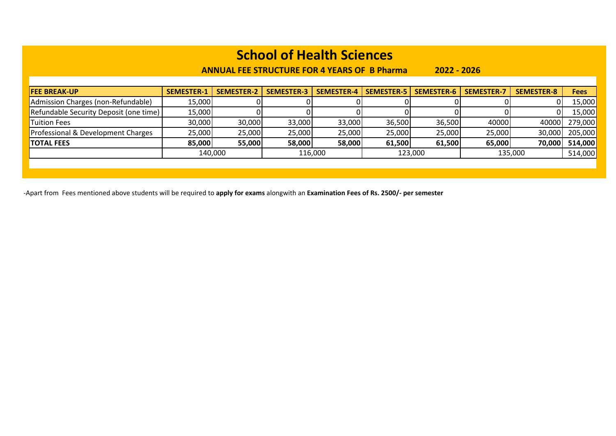**ANNUAL FEE STRUCTURE FOR 4 YEARS OF B Pharma 2022 - 2026**

| <b>FEE BREAK-UP</b>                    | <b>SEMESTER-1</b> | <b>SEMESTER-2</b> | <b>SEMESTER-3</b> | SEMESTER-4 | <b>SEMESTER-5</b> | SEMESTER-6 | <b>SEMESTER-7</b> | <b>SEMESTER-8</b> | <b>Fees</b>    |
|----------------------------------------|-------------------|-------------------|-------------------|------------|-------------------|------------|-------------------|-------------------|----------------|
| Admission Charges (non-Refundable)     | 15,000            |                   |                   |            |                   |            |                   |                   | 15,000         |
| Refundable Security Deposit (one time) | 15,000            |                   |                   |            |                   |            |                   |                   | 15,000         |
| <b>Tuition Fees</b>                    | 30,000            | 30,000            | 33,000            | 33,000     | 36,500            | 36,500     | 40000             | 40000             | 279,000        |
| Professional & Development Charges     | 25,000            | 25,000            | 25,000            | 25,000     | 25,000            | 25,000     | 25,000            |                   | 30,000 205,000 |
| <b>TOTAL FEES</b>                      | 85,000            | 55,000            | 58,000            | 58,000     | 61,500            | 61,500     | 65,000            |                   | 70,000 514,000 |
|                                        |                   | 140,000           |                   | 116.000    |                   | 123,000    |                   | 135,000           | 514,000        |
|                                        |                   |                   |                   |            |                   |            |                   |                   |                |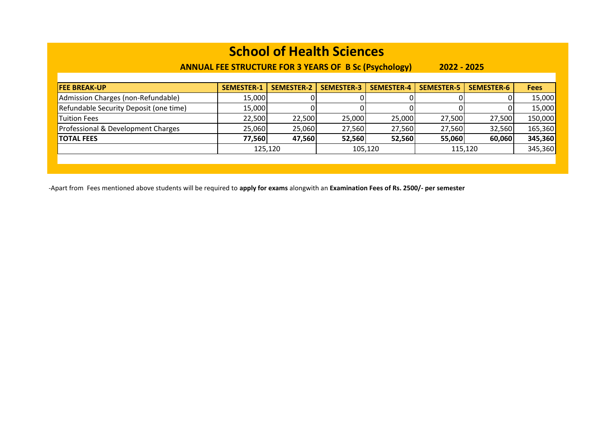### **ANNUAL FEE STRUCTURE FOR 3 YEARS OF B Sc (Psychology) 2022 - 2025**

| <b>FEE BREAK-UP</b>                    | <b>SEMESTER-1</b> | <b>SEMESTER-2</b> | <b>SEMESTER-3</b> | <b>SEMESTER-4</b> | <b>SEMESTER-5</b> | <b>SEMESTER-6</b> | <b>Fees</b> |
|----------------------------------------|-------------------|-------------------|-------------------|-------------------|-------------------|-------------------|-------------|
| Admission Charges (non-Refundable)     | 15,000            |                   |                   |                   |                   |                   | 15,000      |
| Refundable Security Deposit (one time) | 15,000            |                   |                   |                   |                   |                   | 15,000      |
| <b>Tuition Fees</b>                    | 22,500            | 22,500            | 25,000            | 25,000            | 27,500            | 27,500            | 150,000     |
| Professional & Development Charges     | 25,060            | 25,060            | 27,560            | 27,560            | 27,560            | 32,560            | 165,360     |
| <b>TOTAL FEES</b>                      | 77,560            | 47,560            | 52,560            | 52,560            | 55,060            | 60,060            | 345,360     |
|                                        |                   | 125,120           |                   | 105,120           |                   | 115,120           | 345,360     |
|                                        |                   |                   |                   |                   |                   |                   |             |
|                                        |                   |                   |                   |                   |                   |                   |             |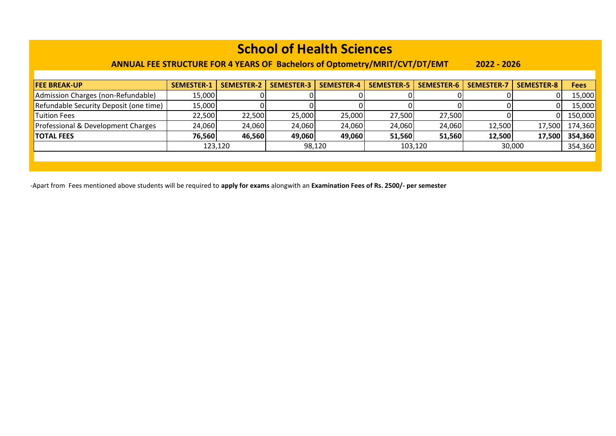#### **ANNUAL FEE STRUCTURE FOR 4 YEARS OF Bachelors of Optometry/MRIT/CVT/DT/EMT 2022 - 2026**

| <b>FEE BREAK-UP</b>                    | <b>SEMESTER-1</b> | <b>SEMESTER-2</b> | <b>SEMESTER-3</b> | SEMESTER-4 | <b>SEMESTER-5</b> | SEMESTER-6 | <b>SEMESTER-7</b> | <b>SEMESTER-8</b> | <b>Fees</b> |
|----------------------------------------|-------------------|-------------------|-------------------|------------|-------------------|------------|-------------------|-------------------|-------------|
| Admission Charges (non-Refundable)     | 15,000            |                   |                   |            |                   |            |                   |                   | 15,000      |
| Refundable Security Deposit (one time) | 15,000            |                   |                   |            |                   |            |                   |                   | 15,000      |
| <b>Tuition Fees</b>                    | 22,500            | 22,500            | 25,000            | 25,000     | 27,500            | 27,500     |                   |                   | 150,000     |
| Professional & Development Charges     | 24,060            | 24,060            | 24,060            | 24,060     | 24,060            | 24,060     | 12,500            | 17,500            | 174,360     |
| <b>TOTAL FEES</b>                      | 76,560            | 46,560            | 49,060            | 49,060     | 51,560            | 51,560     | 12,500            | 17.500            | 354,360     |
|                                        |                   | 123,120           |                   | 98,120     | 103,120           |            |                   | 30,000            | 354,360     |
|                                        |                   |                   |                   |            |                   |            |                   |                   |             |
|                                        |                   |                   |                   |            |                   |            |                   |                   |             |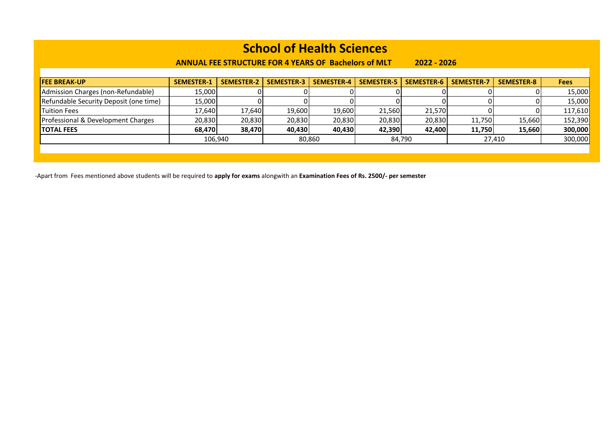**ANNUAL FEE STRUCTURE FOR 4 YEARS OF Bachelors of MLT 2022 - 2026**

| <b>FEE BREAK-UP</b>                           | <b>SEMESTER-1</b> | <b>SEMESTER-2</b> | <b>SEMESTER-3</b> | <b>SEMESTER-4</b> | <b>SEMESTER-5</b> | SEMESTER-6 | <b>SEMESTER-7</b> | <b>SEMESTER-8</b> | <b>Fees</b> |
|-----------------------------------------------|-------------------|-------------------|-------------------|-------------------|-------------------|------------|-------------------|-------------------|-------------|
| Admission Charges (non-Refundable)            | 15,000            |                   |                   |                   |                   |            |                   |                   | 15,000      |
| Refundable Security Deposit (one time)        | 15,000            |                   |                   |                   |                   |            |                   |                   | 15,000      |
| Tuition Fees                                  | 17.640            | 17,640            | 19,600            | 19,600            | 21,560            | 21.570     |                   |                   | 117,610     |
| <b>Professional &amp; Development Charges</b> | 20,830            | 20,830            | 20,830            | 20,830            | 20,830            | 20,830     | 11,750            | 15,660            | 152,390     |
| <b>TOTAL FEES</b>                             | 68,470            | 38,470            | 40,430            | 40,430            | 42,390            | 42,400     | 11,750            | 15,660            | 300,000     |
|                                               | 106,940           |                   | 80,860            |                   |                   | 84,790     |                   | 27,410            | 300,000     |
|                                               |                   |                   |                   |                   |                   |            |                   |                   |             |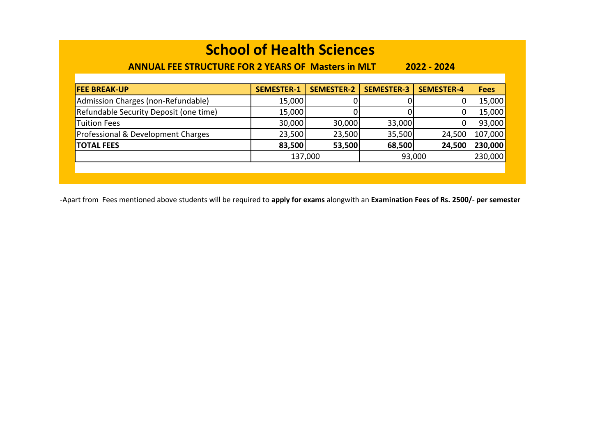### **ANNUAL FEE STRUCTURE FOR 2 YEARS OF Masters in MLT 2022 - 2024**

| <b>FEE BREAK-UP</b>                    | <b>SEMESTER-1</b> | <b>SEMESTER-2</b> | <b>SEMESTER-3</b> | <b>SEMESTER-4</b> | <b>Fees</b> |
|----------------------------------------|-------------------|-------------------|-------------------|-------------------|-------------|
| Admission Charges (non-Refundable)     | 15,000            |                   |                   |                   | 15,000      |
| Refundable Security Deposit (one time) | 15,000            |                   |                   |                   | 15,000      |
| <b>Tuition Fees</b>                    | 30,000            | 30,000            | 33,000            |                   | 93,000      |
| Professional & Development Charges     | 23,500            | 23,500            | 35,500            | 24,500            | 107,000     |
| <b>TOTAL FEES</b>                      | 83,500            | 53,500            | 68,500            | 24,500            | 230,000     |
|                                        |                   | 137,000           | 93,000            |                   | 230,000     |
|                                        |                   |                   |                   |                   |             |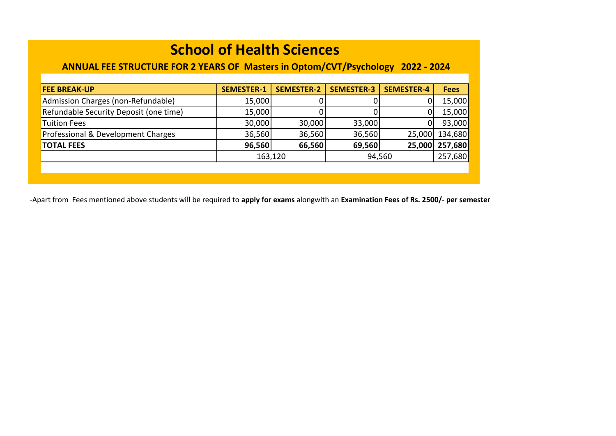### **ANNUAL FEE STRUCTURE FOR 2 YEARS OF Masters in Optom/CVT/Psychology 2022 - 2024**

| <b>FEE BREAK-UP</b>                    | <b>SEMESTER-1</b> | <b>SEMESTER-2</b> | <b>SEMESTER-3</b> | <b>SEMESTER-4</b> | <b>Fees</b> |
|----------------------------------------|-------------------|-------------------|-------------------|-------------------|-------------|
| Admission Charges (non-Refundable)     | 15,000            |                   |                   |                   | 15,000      |
| Refundable Security Deposit (one time) | 15,000            |                   |                   |                   | 15,000      |
| <b>Tuition Fees</b>                    | 30,000            | 30,000            | 33,000            |                   | 93,000      |
| Professional & Development Charges     | 36,560            | 36,560            | 36,560            | 25,000            | 134,680     |
| <b>TOTAL FEES</b>                      | 96,560            | 66,560            | 69,560            | 25,000            | 257,680     |
|                                        | 163,120           |                   | 94,560            |                   | 257,680     |
|                                        |                   |                   |                   |                   |             |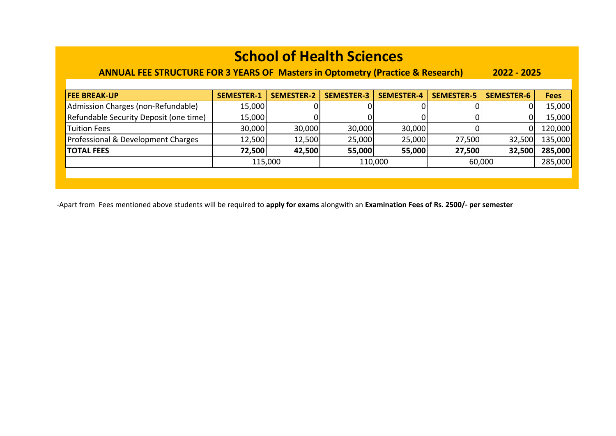### **ANNUAL FEE STRUCTURE FOR 3 YEARS OF Masters in Optometry (Practice & Research) 2022 - 2025**

| <b>FEE BREAK-UP</b>                    | <b>SEMESTER-1</b> | <b>SEMESTER-2</b> | <b>SEMESTER-3</b> | <b>SEMESTER-4</b> | <b>SEMESTER-5</b> | <b>SEMESTER-6</b> | <b>Fees</b> |
|----------------------------------------|-------------------|-------------------|-------------------|-------------------|-------------------|-------------------|-------------|
| Admission Charges (non-Refundable)     | 15,000            |                   |                   |                   |                   |                   | 15,000      |
| Refundable Security Deposit (one time) | 15,000            |                   |                   |                   |                   |                   | 15,000      |
| <b>Tuition Fees</b>                    | 30,000            | 30,000            | 30,000            | 30,000            |                   | 0                 | 120,000     |
| Professional & Development Charges     | 12,500            | 12,500            | 25,000            | 25,000            | 27,500            | 32,500            | 135,000     |
| <b>TOTAL FEES</b>                      | 72,500            | 42,500            | 55,000            | 55,000            | 27,500            | 32,500            | 285,000     |
|                                        | 115,000           |                   | 110,000           |                   |                   | 60,000            | 285,000     |
|                                        |                   |                   |                   |                   |                   |                   |             |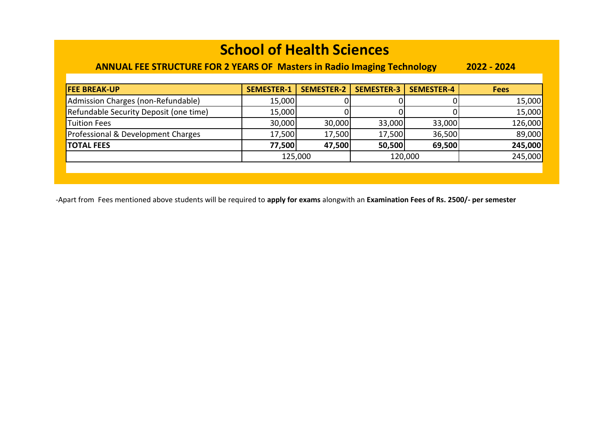### **ANNUAL FEE STRUCTURE FOR 2 YEARS OF Masters in Radio Imaging Technology 2022 - 2024**

| <b>FEE BREAK-UP</b>                    | <b>SEMESTER-1</b> | <b>SEMESTER-2</b> | <b>SEMESTER-3</b> | <b>SEMESTER-4</b> | <b>Fees</b> |
|----------------------------------------|-------------------|-------------------|-------------------|-------------------|-------------|
| Admission Charges (non-Refundable)     | 15,000            |                   |                   |                   | 15,000      |
| Refundable Security Deposit (one time) | 15,000            |                   |                   |                   | 15,000      |
| Tuition Fees                           | 30,000            | 30,000            | 33,000            | 33,000            | 126,000     |
| Professional & Development Charges     | 17,500            | 17,500            | 17,500            | 36,500            | 89,000      |
| <b>TOTAL FEES</b>                      | 77,500            | 47,500            | 50,500            | 69,500            | 245,000     |
|                                        | 125,000           |                   |                   | 120,000           | 245,000     |
|                                        |                   |                   |                   |                   |             |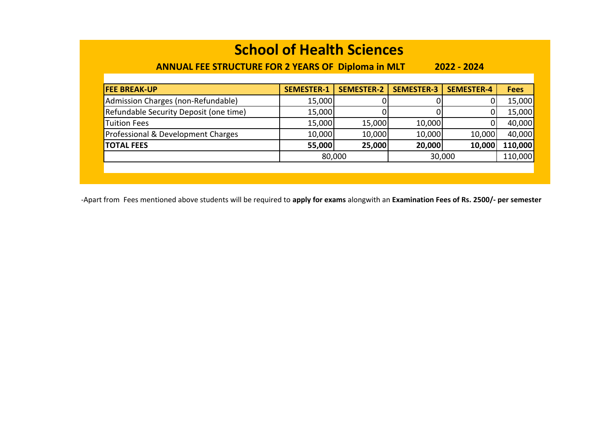### **ANNUAL FEE STRUCTURE FOR 2 YEARS OF Diploma in MLT 2022 - 2024**

| <b>SEMESTER-1</b> | <b>SEMESTER-2</b> | <b>SEMESTER-3</b>                              | <b>SEMESTER-4</b> | <b>Fees</b>      |  |
|-------------------|-------------------|------------------------------------------------|-------------------|------------------|--|
|                   |                   |                                                |                   | 15,000           |  |
|                   |                   |                                                |                   | 15,000           |  |
|                   | 15,000            | 10,000                                         |                   | 40,000           |  |
|                   | 10,000            | 10,000                                         |                   | 40,000           |  |
|                   | 25,000            | 20,000                                         | 10,000            | 110,000          |  |
|                   | 80,000            |                                                |                   |                  |  |
|                   |                   |                                                |                   |                  |  |
|                   |                   | 15,000<br>15,000<br>15,000<br>10,000<br>55,000 |                   | 10,000<br>30,000 |  |